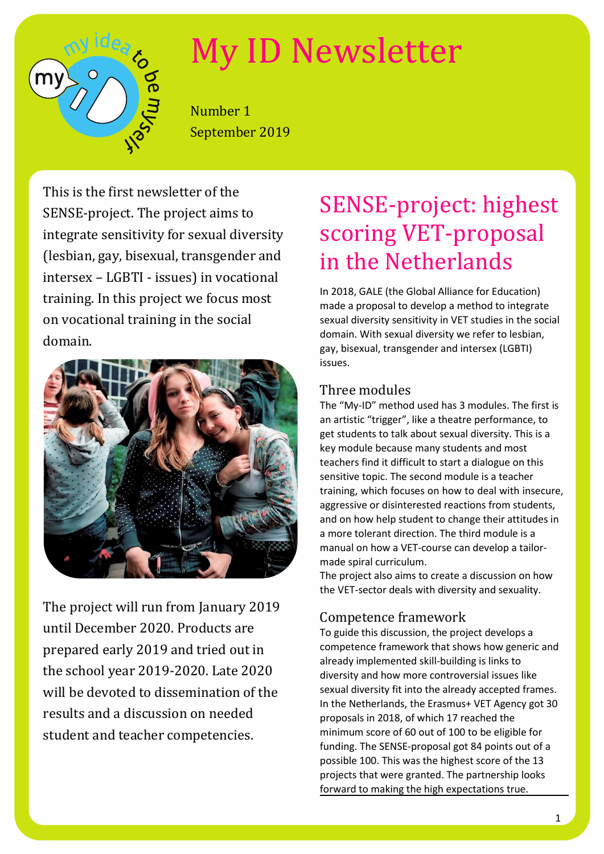# $m<sub>1</sub>$

# My ID Newsletter

Number 1 September 2019

This is the first newsletter of the SENSE-project. The project aims to integrate sensitivity for sexual diversity (lesbian, gay, bisexual, transgender and intersex – LGBTI - issues) in vocational training. In this project we focus most on vocational training in the social domain.



The project will run from January 2019 until December 2020. Products are prepared early 2019 and tried out in the school year 2019-2020. Late 2020 will be devoted to dissemination of the results and a discussion on needed student and teacher competencies.

# SENSE-project: highest scoring VET-proposal in the Netherlands

In 2018, GALE (the Global Alliance for Education) made a proposal to develop a method to integrate sexual diversity sensitivity in VET studies in the social domain. With sexual diversity we refer to lesbian, gay, bisexual, transgender and intersex (LGBTI) issues.

### Three modules

The "My-ID" method used has 3 modules. The first is an artistic "trigger", like a theatre performance, to get students to talk about sexual diversity. This is a key module because many students and most teachers find it difficult to start a dialogue on this sensitive topic. The second module is a teacher training, which focuses on how to deal with insecure, aggressive or disinterested reactions from students, and on how help student to change their attitudes in a more tolerant direction. The third module is a manual on how a VET-course can develop a tailormade spiral curriculum.

The project also aims to create a discussion on how the VET-sector deals with diversity and sexuality.

### Competence framework

To guide this discussion, the project develops a competence framework that shows how generic and already implemented skill-building is links to diversity and how more controversial issues like sexual diversity fit into the already accepted frames. In the Netherlands, the Erasmus+ VET Agency got 30 proposals in 2018, of which 17 reached the minimum score of 60 out of 100 to be eligible for funding. The SENSE-proposal got 84 points out of a possible 100. This was the highest score of the 13 projects that were granted. The partnership looks forward to making the high expectations true.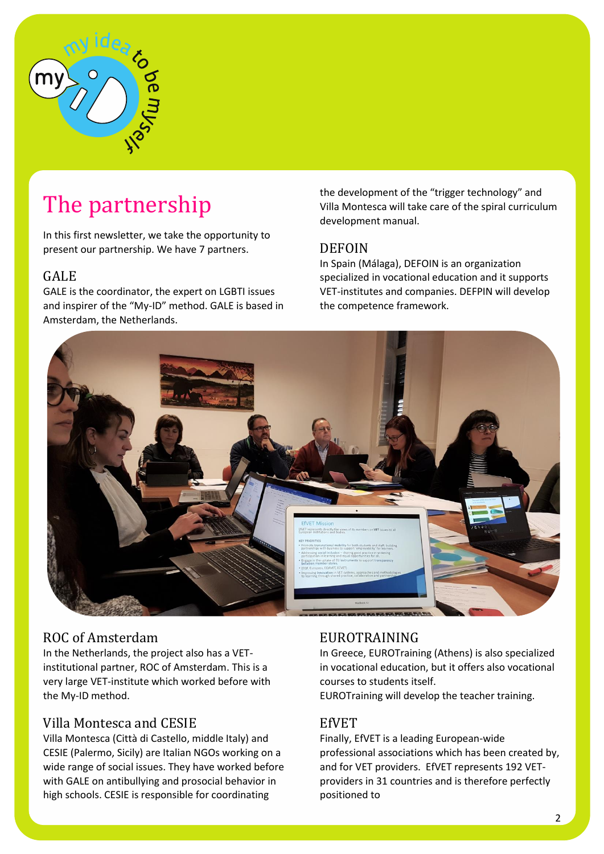

# The partnership

In this first newsletter, we take the opportunity to present our partnership. We have 7 partners.

### GALE

GALE is the coordinator, the expert on LGBTI issues and inspirer of the "My-ID" method. GALE is based in Amsterdam, the Netherlands.

the development of the "trigger technology" and Villa Montesca will take care of the spiral curriculum development manual.

### DEFOIN

In Spain (Málaga), DEFOIN is an organization specialized in vocational education and it supports VET-institutes and companies. DEFPIN will develop the competence framework.



### ROC of Amsterdam

In the Netherlands, the project also has a VETinstitutional partner, ROC of Amsterdam. This is a very large VET-institute which worked before with the My-ID method.

### Villa Montesca and CESIE

Villa Montesca (Città di Castello, middle Italy) and CESIE (Palermo, Sicily) are Italian NGOs working on a wide range of social issues. They have worked before with GALE on antibullying and prosocial behavior in high schools. CESIE is responsible for coordinating

### EUROTRAINING

In Greece, EUROTraining (Athens) is also specialized in vocational education, but it offers also vocational courses to students itself.

EUROTraining will develop the teacher training.

### EfVET

Finally, EfVET is a leading European-wide professional associations which has been created by, and for VET providers. EfVET represents 192 VETproviders in 31 countries and is therefore perfectly positioned to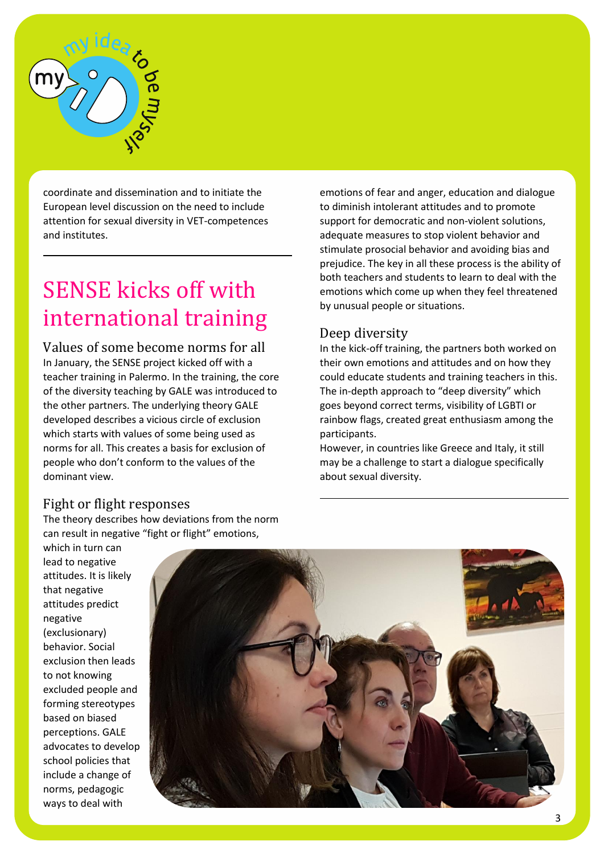

coordinate and dissemination and to initiate the European level discussion on the need to include attention for sexual diversity in VET-competences and institutes.

# SENSE kicks off with international training

Values of some become norms for all In January, the SENSE project kicked off with a teacher training in Palermo. In the training, the core of the diversity teaching by GALE was introduced to the other partners. The underlying theory GALE developed describes a vicious circle of exclusion which starts with values of some being used as norms for all. This creates a basis for exclusion of people who don't conform to the values of the dominant view.

### Fight or flight responses

The theory describes how deviations from the norm can result in negative "fight or flight" emotions,

emotions of fear and anger, education and dialogue to diminish intolerant attitudes and to promote support for democratic and non-violent solutions, adequate measures to stop violent behavior and stimulate prosocial behavior and avoiding bias and prejudice. The key in all these process is the ability of both teachers and students to learn to deal with the emotions which come up when they feel threatened by unusual people or situations.

### Deep diversity

In the kick-off training, the partners both worked on their own emotions and attitudes and on how they could educate students and training teachers in this. The in-depth approach to "deep diversity" which goes beyond correct terms, visibility of LGBTI or rainbow flags, created great enthusiasm among the participants.

However, in countries like Greece and Italy, it still may be a challenge to start a dialogue specifically about sexual diversity.

which in turn can lead to negative attitudes. It is likely that negative attitudes predict negative (exclusionary) behavior. Social exclusion then leads to not knowing excluded people and forming stereotypes based on biased perceptions. GALE advocates to develop school policies that include a change of norms, pedagogic ways to deal with

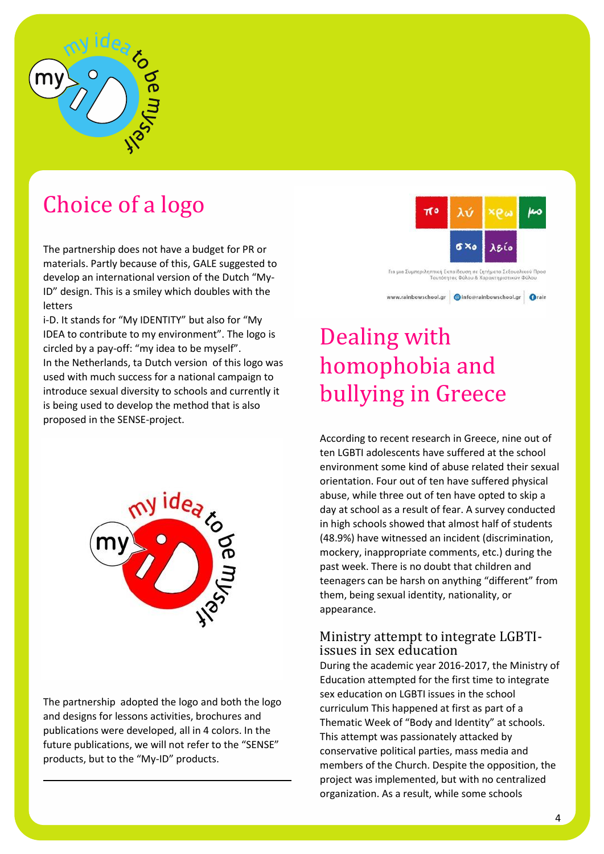

## Choice of a logo

The partnership does not have a budget for PR or materials. Partly because of this, GALE suggested to develop an international version of the Dutch "My-ID" design. This is a smiley which doubles with the letters

i-D. It stands for "My IDENTITY" but also for "My IDEA to contribute to my environment". The logo is circled by a pay-off: "my idea to be myself". In the Netherlands, ta Dutch version of this logo was used with much success for a national campaign to introduce sexual diversity to schools and currently it is being used to develop the method that is also proposed in the SENSE-project.



The partnership adopted the logo and both the logo and designs for lessons activities, brochures and publications were developed, all in 4 colors. In the future publications, we will not refer to the "SENSE" products, but to the "My-ID" products.



# Dealing with homophobia and bullying in Greece

According to recent research in Greece, nine out of ten LGBTI adolescents have suffered at the school environment some kind of abuse related their sexual orientation. Four out of ten have suffered physical abuse, while three out of ten have opted to skip a day at school as a result of fear. A survey conducted in high schools showed that almost half of students (48.9%) have witnessed an incident (discrimination, mockery, inappropriate comments, etc.) during the past week. There is no doubt that children and teenagers can be harsh on anything "different" from them, being sexual identity, nationality, or appearance.

### Ministry attempt to integrate LGBTIissues in sex education

During the academic year 2016-2017, the Ministry of Education attempted for the first time to integrate sex education on LGBTI issues in the school curriculum This happened at first as part of a Thematic Week of "Body and Identity" at schools. This attempt was passionately attacked by conservative political parties, mass media and members of the Church. Despite the opposition, the project was implemented, but with no centralized organization. As a result, while some schools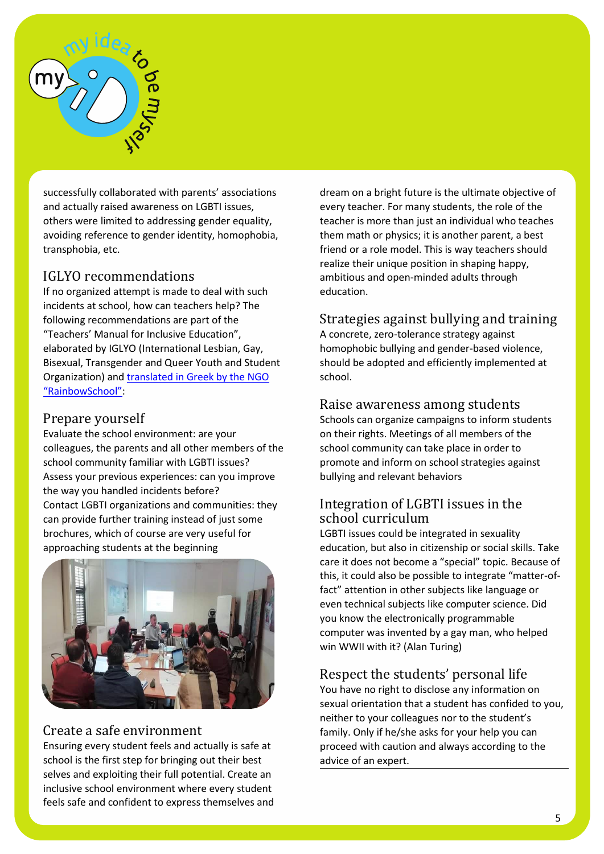

successfully collaborated with parents' associations and actually raised awareness on LGBTI issues, others were limited to addressing gender equality, avoiding reference to gender identity, homophobia, transphobia, etc.

### IGLYO recommendations

If no organized attempt is made to deal with such incidents at school, how can teachers help? The following recommendations are part of the "Teachers' Manual for Inclusive Education", elaborated by IGLYO (International Lesbian, Gay, Bisexual, Transgender and Queer Youth and Student Organization) and translated in Greek by the NGO ["RainbowSchool"](https://rainbowschool.gr/wp-content/uploads/2017/01/%CE%95%CE%B3%CF%87%CE%B5%CE%B9%CF%81%CE%AF%CE%B4%CE%B9%CE%BF-%CE%B5%CE%BA%CF%80%CE%B1%CE%B9%CE%B4%CE%B5%CF%85%CF%84%CE%B9%CE%BA%CF%8E%CE%BD-%CE%B3%CE%B9%CE%B1-%CE%BC%CE%AF%CE%B1-%CF%83%CF%85%CE%BC%CF%80%CE%B5%CF%81%CE%B9%CE%BB%CE%B7%CF%80%CF%84%CE%B9%CE%BA%CE%AE-%CE%B5%CE%BA%CF%80%CE%B1%CE%AF%CE%B4%CE%B5%CF%85%CF%83%CE%B7-IGLYO.pdf):

### Prepare yourself

Evaluate the school environment: are your colleagues, the parents and all other members of the school community familiar with LGBTI issues? Assess your previous experiences: can you improve the way you handled incidents before? Contact LGBTI organizations and communities: they can provide further training instead of just some brochures, which of course are very useful for approaching students at the beginning



### Create a safe environment

Ensuring every student feels and actually is safe at school is the first step for bringing out their best selves and exploiting their full potential. Create an inclusive school environment where every student feels safe and confident to express themselves and dream on a bright future is the ultimate objective of every teacher. For many students, the role of the teacher is more than just an individual who teaches them math or physics; it is another parent, a best friend or a role model. This is way teachers should realize their unique position in shaping happy, ambitious and open-minded adults through education.

### Strategies against bullying and training

A concrete, zero-tolerance strategy against homophobic bullying and gender-based violence, should be adopted and efficiently implemented at school.

### Raise awareness among students

Schools can organize campaigns to inform students on their rights. Meetings of all members of the school community can take place in order to promote and inform on school strategies against bullying and relevant behaviors

### Integration of LGBTI issues in the school curriculum

LGBTI issues could be integrated in sexuality education, but also in citizenship or social skills. Take care it does not become a "special" topic. Because of this, it could also be possible to integrate "matter-offact" attention in other subjects like language or even technical subjects like computer science. Did you know the electronically programmable computer was invented by a gay man, who helped win WWII with it? (Alan Turing)

### Respect the students' personal life

You have no right to disclose any information on sexual orientation that a student has confided to you, neither to your colleagues nor to the student's family. Only if he/she asks for your help you can proceed with caution and always according to the advice of an expert.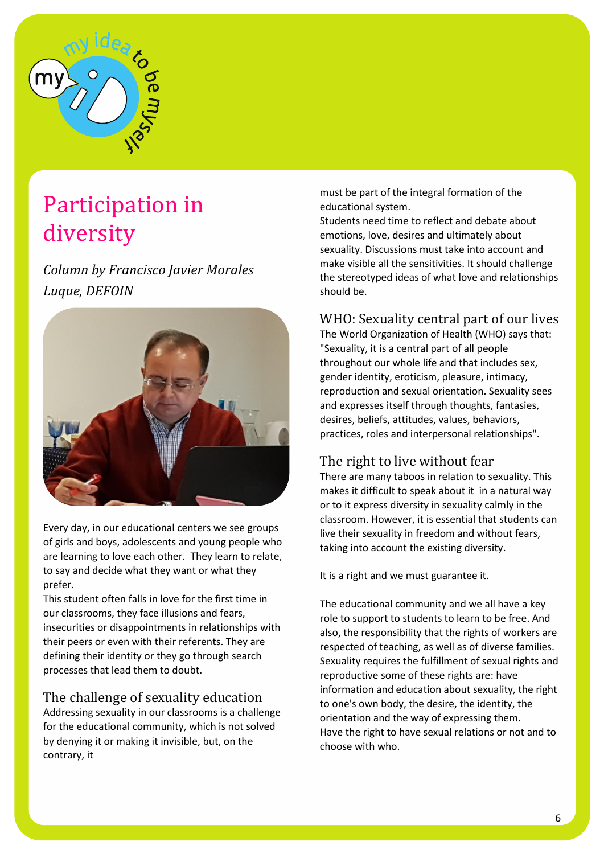

# Participation in diversity

*Column by Francisco Javier Morales Luque, DEFOIN*



Every day, in our educational centers we see groups of girls and boys, adolescents and young people who are learning to love each other. They learn to relate, to say and decide what they want or what they prefer.

This student often falls in love for the first time in our classrooms, they face illusions and fears, insecurities or disappointments in relationships with their peers or even with their referents. They are defining their identity or they go through search processes that lead them to doubt.

### The challenge of sexuality education

Addressing sexuality in our classrooms is a challenge for the educational community, which is not solved by denying it or making it invisible, but, on the contrary, it

must be part of the integral formation of the educational system.

Students need time to reflect and debate about emotions, love, desires and ultimately about sexuality. Discussions must take into account and make visible all the sensitivities. It should challenge the stereotyped ideas of what love and relationships should be.

### WHO: Sexuality central part of our lives

The World Organization of Health (WHO) says that: "Sexuality, it is a central part of all people throughout our whole life and that includes sex, gender identity, eroticism, pleasure, intimacy, reproduction and sexual orientation. Sexuality sees and expresses itself through thoughts, fantasies, desires, beliefs, attitudes, values, behaviors, practices, roles and interpersonal relationships".

### The right to live without fear

There are many taboos in relation to sexuality. This makes it difficult to speak about it in a natural way or to it express diversity in sexuality calmly in the classroom. However, it is essential that students can live their sexuality in freedom and without fears, taking into account the existing diversity.

It is a right and we must guarantee it.

The educational community and we all have a key role to support to students to learn to be free. And also, the responsibility that the rights of workers are respected of teaching, as well as of diverse families. Sexuality requires the fulfillment of sexual rights and reproductive some of these rights are: have information and education about sexuality, the right to one's own body, the desire, the identity, the orientation and the way of expressing them. Have the right to have sexual relations or not and to choose with who.